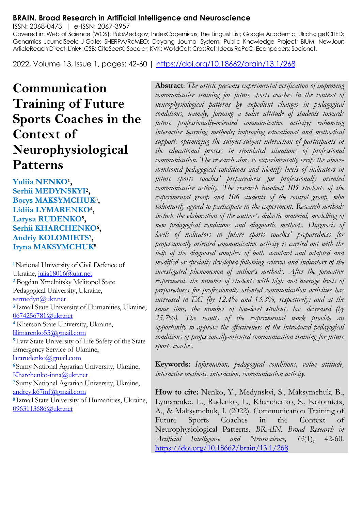#### **BRAIN. Broad Research in Artificial Intelligence and Neuroscience**

ISSN: 2068-0473 | e-ISSN: 2067-3957

Covered in: Web of Science (WOS); PubMed.gov; IndexCopernicus; The Linguist List; Google Academic; Ulrichs; getCITED; Genamics JournalSeek; J-Gate; SHERPA/RoMEO; Dayang Journal System; Public Knowledge Project; BIUM; NewJour; ArticleReach Direct; Link+; CSB; CiteSeerX; Socolar; KVK; WorldCat; CrossRef; Ideas RePeC; Econpapers; Socionet.

2022, Volume 13, Issue 1, pages: 42-60 |<https://doi.org/10.18662/brain/13.1/268>

# **Communication Training of Future Sports Coaches in the Context of Neurophysiological Patterns**

Yuliia NENKO<sup>1</sup>, **Serhii MEDYNSKYI<sup>2</sup> , Borys MAKSYMCHUK<sup>3</sup> , Lidiia LYMARENKO<sup>4</sup> , Larysa RUDENKO<sup>5</sup> , Serhii KHARCHENKO<sup>6</sup> , Andriy KOLOMIETS<sup>7</sup> , Iryna MAKSYMCHUK<sup>8</sup>**

**<sup>1</sup>**National University of Civil Defence of Ukraine[, julia18016@ukr.net](mailto:julia18016@ukr.net) **<sup>2</sup>** Bogdan Xmelnitsky Melitopol State Pedagogical University, Ukraine, [sermedyn@ukr.net](mailto:sermedyn@ukr.net) **<sup>3</sup>**Izmail State University of Humanities, Ukraine, [0674256781@ukr.net](mailto:0674256781@ukr.net) **<sup>4</sup>** Kherson State University, Ukraine, [lilimarenko55@gmail.com](mailto:lilimarenko55@gmail.com) **<sup>5</sup>**Lviv State University of Life Safety of the State Emergency Service of Ukraine, [lararudenko@gmail.com](mailto:lararudenko@gmail.com) **<sup>6</sup>**Sumy National Agrarian University, Ukraine, [Kharchenko-inna@ukr.net](mailto:Kharchenko-inna@ukr.net) **<sup>7</sup>**Sumy National Agrarian University, Ukraine, [andrey.k67inf@gmail.com](mailto:andrey.k67inf@gmail.com) **<sup>8</sup>**Izmail State University of Humanities, Ukraine, [0963113686@ukr.net](mailto:0963113686@ukr.net)

**Abstract**: *The article presents experimental verification of improving communicative training for future sports coaches in the context of neurophysiological patterns by expedient changes in pedagogical conditions, namely, forming a value attitude of students towards future professionally-oriented communicative activity; enhancing interactive learning methods; improving educational and methodical support; optimizing the subject-subject interaction of participants in the educational process in simulated situations of professional communication. The research aims to experimentally verify the abovementioned pedagogical conditions and identify levels of indicators in future sports coaches' preparedness for professionally oriented communicative activity. The research involved 105 students of the experimental group and 106 students of the control group, who voluntarily agreed to participate in the experiment. Research methods include the elaboration of the author's didactic material, modelling of new pedagogical conditions and diagnostic methods. Diagnosis of levels of indicators in future sports coaches' preparedness for professionally oriented communicative activity is carried out with the help of the diagnosed complex of both standard and adapted and modified or specially developed following criteria and indicators of the investigated phenomenon of author's methods. After the formative experiment, the number of students with high and average levels of preparedness for professionally oriented communication activities has increased in EG (by 12.4% and 13.3%, respectively) and at the same time, the number of low-level students has decreased (by 25.7%). The results of the experimental work provide an opportunity to approve the effectiveness of the introduced pedagogical conditions of professionally-oriented communication training for future sports coaches.*

**Keywords:** *Information, pedagogical conditions, value attitude, interactive methods, interaction, communication activity.*

**How to cite:** Nenko, Y., Medynskyi, S., Maksymchuk, B., Lymarenko, L., Rudenko, L., Kharchenko, S., Kolomiets, A., & Maksymchuk, I. (2022). Communication Training of Future Sports Coaches in the Context of Neurophysiological Patterns. *BRAIN. Broad Research in Artificial Intelligence and Neuroscience, 13*(1), 42-60. <https://doi.org/10.18662/brain/13.1/268>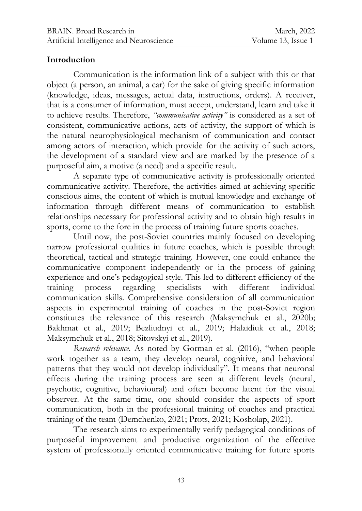### **Introduction**

Communication is the information link of a subject with this or that object (a person, an animal, a car) for the sake of giving specific information (knowledge, ideas, messages, actual data, instructions, orders). A receiver, that is a consumer of information, must accept, understand, learn and take it to achieve results. Therefore, *"communicative activity"* is considered as a set of consistent, communicative actions, acts of activity, the support of which is the natural neurophysiological mechanism of communication and contact among actors of interaction, which provide for the activity of such actors, the development of a standard view and are marked by the presence of a purposeful aim, a motive (a need) and a specific result.

A separate type of communicative activity is professionally oriented communicative activity. Therefore, the activities aimed at achieving specific conscious aims, the content of which is mutual knowledge and exchange of information through different means of communication to establish relationships necessary for professional activity and to obtain high results in sports, come to the fore in the process of training future sports coaches.

Until now, the post-Soviet countries mainly focused on developing narrow professional qualities in future coaches, which is possible through theoretical, tactical and strategic training. However, one could enhance the communicative component independently or in the process of gaining experience and one's pedagogical style. This led to different efficiency of the training process regarding specialists with different individual communication skills. Comprehensive consideration of all communication aspects in experimental training of coaches in the post-Soviet region constitutes the relevance of this research (Maksymchuk et al., 2020b; Bakhmat et al., 2019; Bezliudnyi et al., 2019; Halaidiuk et al., 2018; Maksymchuk et al., 2018; Sitovskyi et al., 2019).

*Research relevance*. As noted by Gorman et al. (2016), "when people work together as a team, they develop neural, cognitive, and behavioral patterns that they would not develop individually". It means that neuronal effects during the training process are seen at different levels (neural, psychotic, cognitive, behavioural) and often become latent for the visual observer. At the same time, one should consider the aspects of sport communication, both in the professional training of coaches and practical training of the team (Demchenko, 2021; Prots, 2021; Kosholap, 2021).

The research aims to experimentally verify pedagogical conditions of purposeful improvement and productive organization of the effective system of professionally oriented communicative training for future sports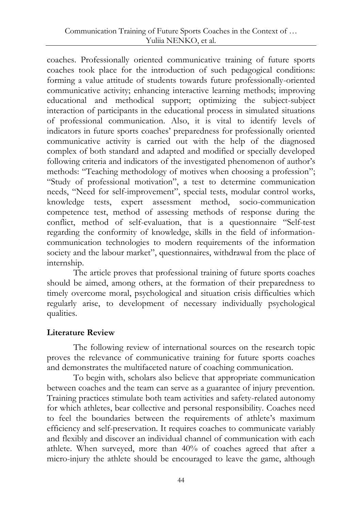coaches. Professionally oriented communicative training of future sports coaches took place for the introduction of such pedagogical conditions: forming a value attitude of students towards future professionally-oriented communicative activity; enhancing interactive learning methods; improving educational and methodical support; optimizing the subject-subject interaction of participants in the educational process in simulated situations of professional communication. Also, it is vital to identify levels of indicators in future sports coaches' preparedness for professionally oriented communicative activity is carried out with the help of the diagnosed complex of both standard and adapted and modified or specially developed following criteria and indicators of the investigated phenomenon of author's methods: "Teaching methodology of motives when choosing a profession"; "Study of professional motivation", a test to determine communication needs, "Need for self-improvement", special tests, modular control works, knowledge tests, expert assessment method, socio-communication competence test, method of assessing methods of response during the conflict, method of self-evaluation, that is a questionnaire "Self-test regarding the conformity of knowledge, skills in the field of informationcommunication technologies to modern requirements of the information society and the labour market", questionnaires, withdrawal from the place of internship.

The article proves that professional training of future sports coaches should be aimed, among others, at the formation of their preparedness to timely overcome moral, psychological and situation crisis difficulties which regularly arise, to development of necessary individually psychological qualities.

#### **Literature Review**

The following review of international sources on the research topic proves the relevance of communicative training for future sports coaches and demonstrates the multifaceted nature of coaching communication.

To begin with, scholars also believe that appropriate communication between coaches and the team can serve as a guarantee of injury prevention. Training practices stimulate both team activities and safety-related autonomy for which athletes, bear collective and personal responsibility. Coaches need to feel the boundaries between the requirements of athlete's maximum efficiency and self-preservation. It requires coaches to communicate variably and flexibly and discover an individual channel of communication with each athlete. When surveyed, more than 40% of coaches agreed that after a micro-injury the athlete should be encouraged to leave the game, although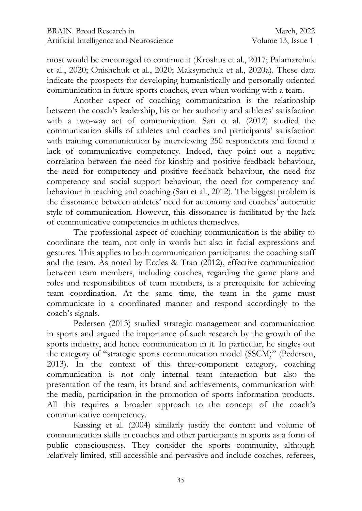most would be encouraged to continue it (Kroshus еt al., 2017; Palamarchuk et al., 2020; Onishchuk et al., 2020; Maksymchuk et al., 2020a). These data indicate the prospects for developing humanistically and personally oriented communication in future sports coaches, even when working with a team.

Another aspect of coaching communication is the relationship between the coach's leadership, his or her authority and athletes' satisfaction with a two-way act of communication. Sarı et al. (2012) studied the communication skills of athletes and coaches and participants' satisfaction with training communication by interviewing 250 respondents and found a lack of communicative competency. Indeed, they point out a negative correlation between the need for kinship and positive feedback behaviour, the need for competency and positive feedback behaviour, the need for competency and social support behaviour, the need for competency and behaviour in teaching and coaching (Sarı et al., 2012). The biggest problem is the dissonance between athletes' need for autonomy and coaches' autocratic style of communication. However, this dissonance is facilitated by the lack of communicative competencies in athletes themselves.

The professional aspect of coaching communication is the ability to coordinate the team, not only in words but also in facial expressions and gestures. This applies to both communication participants: the coaching staff and the team. As noted by Eccles & Tran (2012), effective communication between team members, including coaches, regarding the game plans and roles and responsibilities of team members, is a prerequisite for achieving team coordination. At the same time, the team in the game must communicate in a coordinated manner and respond accordingly to the coach's signals.

Pedersen (2013) studied strategic management and communication in sports and argued the importance of such research by the growth of the sports industry, and hence communication in it. In particular, he singles out the category of "strategic sports communication model (SSCM)" (Pedersen, 2013). In the context of this three-component category, coaching communication is not only internal team interaction but also the presentation of the team, its brand and achievements, communication with the media, participation in the promotion of sports information products. All this requires a broader approach to the concept of the coach's communicative competency.

Kassing et al. (2004) similarly justify the content and volume of communication skills in coaches and other participants in sports as a form of public consciousness. They consider the sports community, although relatively limited, still accessible and pervasive and include coaches, referees,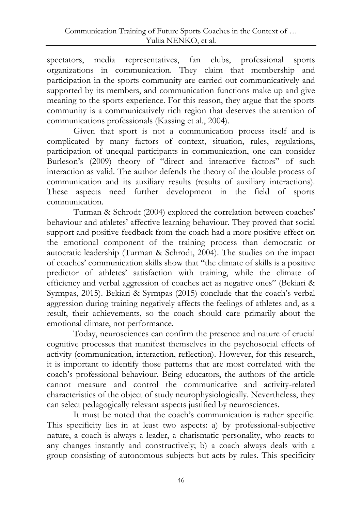spectators, media representatives, fan clubs, professional sports organizations in communication. They claim that membership and participation in the sports community are carried out communicatively and supported by its members, and communication functions make up and give meaning to the sports experience. For this reason, they argue that the sports community is a communicatively rich region that deserves the attention of communications professionals (Kassing et al., 2004).

Given that sport is not a communication process itself and is complicated by many factors of context, situation, rules, regulations, participation of unequal participants in communication, one can consider Burleson's (2009) theory of "direct and interactive factors" of such interaction as valid. The author defends the theory of the double process of communication and its auxiliary results (results of auxiliary interactions). These aspects need further development in the field of sports communication.

Turman & Schrodt (2004) explored the correlation between coaches' behaviour and athletes' affective learning behaviour. They proved that social support and positive feedback from the coach had a more positive effect on the emotional component of the training process than democratic or autocratic leadership (Turman & Schrodt, 2004). The studies on the impact of coaches' communication skills show that "the climate of skills is a positive predictor of athletes' satisfaction with training, while the climate of efficiency and verbal aggression of coaches act as negative ones" (Bekiari & Syrmpas, 2015). Bekiari & Syrmpas (2015) conclude that the coach's verbal aggression during training negatively affects the feelings of athletes and, as a result, their achievements, so the coach should care primarily about the emotional climate, not performance.

Today, neurosciences can confirm the presence and nature of crucial cognitive processes that manifest themselves in the psychosocial effects of activity (communication, interaction, reflection). However, for this research, it is important to identify those patterns that are most correlated with the coach's professional behaviour. Being educators, the authors of the article cannot measure and control the communicative and activity-related characteristics of the object of study neurophysiologically. Nevertheless, they can select pedagogically relevant aspects justified by neurosciences.

It must be noted that the coach's communication is rather specific. This specificity lies in at least two aspects: a) by professional-subjective nature, a coach is always a leader, a charismatic personality, who reacts to any changes instantly and constructively; b) a coach always deals with a group consisting of autonomous subjects but acts by rules. This specificity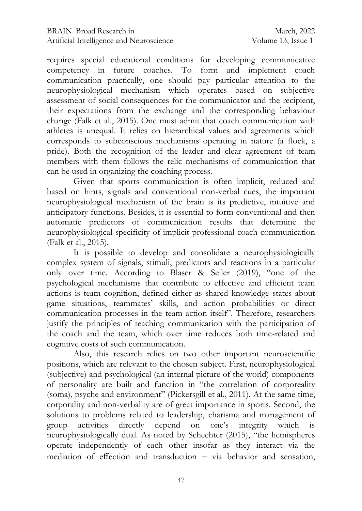requires special educational conditions for developing communicative competency in future coaches. To form and implement coach communication practically, one should pay particular attention to the neurophysiological mechanism which operates based on subjective assessment of social consequences for the communicator and the recipient, their expectations from the exchange and the corresponding behaviour change (Falk et al., 2015). One must admit that coach communication with athletes is unequal. It relies on hierarchical values and agreements which corresponds to subconscious mechanisms operating in nature (a flock, a pride). Both the recognition of the leader and clear agreement of team members with them follows the relic mechanisms of communication that can be used in organizing the coaching process.

Given that sports communication is often implicit, reduced and based on hints, signals and conventional non-verbal cues, the important neurophysiological mechanism of the brain is its predictive, intuitive and anticipatory functions. Besides, it is essential to form conventional and then automatic predictors of communication results that determine the neurophysiological specificity of implicit professional coach communication (Falk et al., 2015).

It is possible to develop and consolidate a neurophysiologically complex system of signals, stimuli, predictors and reactions in a particular only over time. According to Blaser & Seiler (2019), "one of the psychological mechanisms that contribute to effective and efficient team actions is team cognition, defined either as shared knowledge states about game situations, teammates' skills, and action probabilities or direct communication processes in the team action itself". Therefore, researchers justify the principles of teaching communication with the participation of the coach and the team, which over time reduces both time-related and cognitive costs of such communication.

Also, this research relies on two other important neuroscientific positions, which are relevant to the chosen subject. First, neurophysiological (subjective) and psychological (an internal picture of the world) components of personality are built and function in "the correlation of corporeality (soma), psyche and environment" (Pickersgill et al., 2011). At the same time, corporality and non-verbality are of great importance in sports. Second, the solutions to problems related to leadership, charisma and management of group activities directly depend on one's integrity which is neurophysiologically dual. As noted by Schechter (2015), "the hemispheres operate independently of each other insofar as they interact via the mediation of effection and transduction  $-$  via behavior and sensation,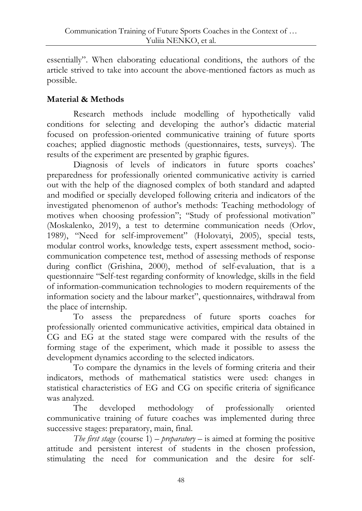essentially". When elaborating educational conditions, the authors of the article strived to take into account the above-mentioned factors as much as possible.

## **Material & Methods**

Research methods include modelling of hypothetically valid conditions for selecting and developing the author's didactic material focused on profession-oriented communicative training of future sports coaches; applied diagnostic methods (questionnaires, tests, surveys). The results of the experiment are presented by graphic figures.

Diagnosis of levels of indicators in future sports coaches' preparedness for professionally oriented communicative activity is carried out with the help of the diagnosed complex of both standard and adapted and modified or specially developed following criteria and indicators of the investigated phenomenon of author's methods: Teaching methodology of motives when choosing profession"; "Study of professional motivation" (Moskalenko, 2019), a test to determine communication needs (Orlov, 1989), "Need for self-improvement" (Holovatyi, 2005), special tests, modular control works, knowledge tests, expert assessment method, sociocommunication competence test, method of assessing methods of response during conflict (Grishina, 2000), method of self-evaluation, that is a questionnaire "Self-test regarding conformity of knowledge, skills in the field of information-communication technologies to modern requirements of the information society and the labour market", questionnaires, withdrawal from the place of internship.

To assess the preparedness of future sports coaches for professionally oriented communicative activities, empirical data obtained in CG and EG at the stated stage were compared with the results of the forming stage of the experiment, which made it possible to assess the development dynamics according to the selected indicators.

To compare the dynamics in the levels of forming criteria and their indicators, methods of mathematical statistics were used: changes in statistical characteristics of EG and CG on specific criteria of significance was analyzed.

The developed methodology of professionally oriented communicative training of future coaches was implemented during three successive stages: preparatory, main, final.

*The first stage* (course  $1$ ) – *preparatory* – is aimed at forming the positive attitude and persistent interest of students in the chosen profession, stimulating the need for communication and the desire for self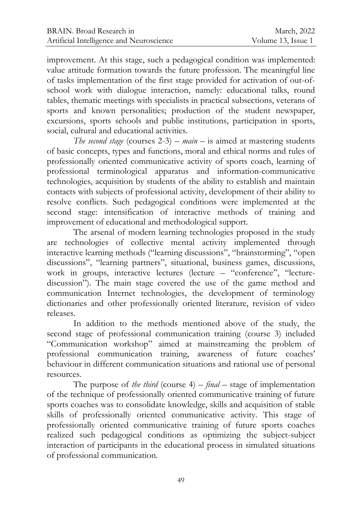improvement. At this stage, such a pedagogical condition was implemented: value attitude formation towards the future profession. The meaningful line of tasks implementation of the first stage provided for activation of out-ofschool work with dialogue interaction, namely: educational talks, round tables, thematic meetings with specialists in practical subsections, veterans of sports and known personalities; production of the student newspaper, excursions, sports schools and public institutions, participation in sports, social, cultural and educational activities.

*The second stage* (courses  $2-3$ ) – *main* – is aimed at mastering students of basic concepts, types and functions, moral and ethical norms and rules of professionally oriented communicative activity of sports coach, learning of professional terminological apparatus and information-communicative technologies, acquisition by students of the ability to establish and maintain contacts with subjects of professional activity, development of their ability to resolve conflicts. Such pedagogical conditions were implemented at the second stage: intensification of interactive methods of training and improvement of educational and methodological support.

The arsenal of modern learning technologies proposed in the study are technologies of collective mental activity implemented through interactive learning methods ("learning discussions", "brainstorming", "open discussions", "learning partners", situational, business games, discussions, work in groups, interactive lectures (lecture – "conference", "lecturediscussion"). The main stage covered the use of the game method and communication Internet technologies, the development of terminology dictionaries and other professionally oriented literature, revision of video releases.

In addition to the methods mentioned above of the study, the second stage of professional communication training (course 3) included "Communication workshop" aimed at mainstreaming the problem of professional communication training, awareness of future coaches' behaviour in different communication situations and rational use of personal resources.

The purpose of *the third* (course 4) – *final* – stage of implementation of the technique of professionally oriented communicative training of future sports coaches was to consolidate knowledge, skills and acquisition of stable skills of professionally oriented communicative activity. This stage of professionally oriented communicative training of future sports coaches realized such pedagogical conditions as optimizing the subject-subject interaction of participants in the educational process in simulated situations of professional communication.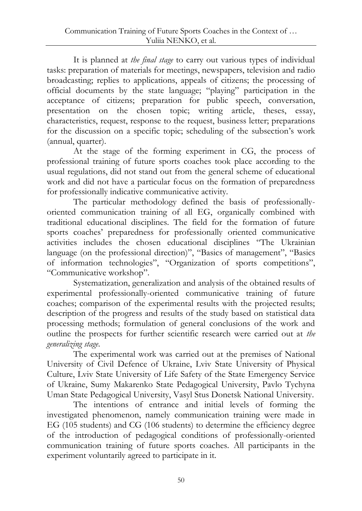It is planned at *the final stage* to carry out various types of individual tasks: preparation of materials for meetings, newspapers, television and radio broadcasting; replies to applications, appeals of citizens; the processing of official documents by the state language; "playing" participation in the acceptance of citizens; preparation for public speech, conversation, presentation on the chosen topic; writing article, theses, essay, characteristics, request, response to the request, business letter; preparations for the discussion on a specific topic; scheduling of the subsection's work (annual, quarter).

At the stage of the forming experiment in CG, the process of professional training of future sports coaches took place according to the usual regulations, did not stand out from the general scheme of educational work and did not have a particular focus on the formation of preparedness for professionally indicative communicative activity.

The particular methodology defined the basis of professionallyoriented communication training of all EG, organically combined with traditional educational disciplines. The field for the formation of future sports coaches' preparedness for professionally oriented communicative activities includes the chosen educational disciplines "The Ukrainian language (on the professional direction)", "Basics of management", "Basics of information technologies", "Organization of sports competitions", "Communicative workshop".

Systematization, generalization and analysis of the obtained results of experimental professionally-oriented communicative training of future coaches; comparison of the experimental results with the projected results; description of the progress and results of the study based on statistical data processing methods; formulation of general conclusions of the work and outline the prospects for further scientific research were carried out at *the generalizing stage*.

The experimental work was carried out at the premises of National University of Civil Defence of Ukraine, Lviv State University of Physical Culture, Lviv State University of Life Safety of the State Emergency Service of Ukraine, Sumy Makarenko State Pedagogical University, Pavlo Tychyna Uman State Pedagogical University, Vasyl Stus Donetsk National University.

The intentions of entrance and initial levels of forming the investigated phenomenon, namely communication training were made in EG (105 students) and CG (106 students) to determine the efficiency degree of the introduction of pedagogical conditions of professionally-oriented communication training of future sports coaches. All participants in the experiment voluntarily agreed to participate in it.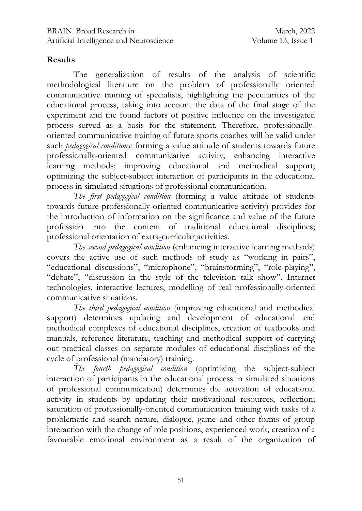### **Results**

The generalization of results of the analysis of scientific methodological literature on the problem of professionally oriented communicative training of specialists, highlighting the peculiarities of the educational process, taking into account the data of the final stage of the experiment and the found factors of positive influence on the investigated process served as a basis for the statement. Therefore, professionallyoriented communicative training of future sports coaches will be valid under such *pedagogical conditions:* forming a value attitude of students towards future professionally-oriented communicative activity; enhancing interactive learning methods; improving educational and methodical support; optimizing the subject-subject interaction of participants in the educational process in simulated situations of professional communication.

*The first pedagogical condition* (forming a value attitude of students towards future professionally-oriented communicative activity) provides for the introduction of information on the significance and value of the future profession into the content of traditional educational disciplines; professional orientation of [extra-curricular](https://translate.academic.ru/extra-curricular%20activities/ru/en/) activities.

*The second pedagogical condition* (enhancing interactive learning methods) covers the active use of such methods of study as "working in pairs", "educational discussions", "microphone", "brainstorming", "role-playing", "debate", "discussion in the style of the television talk show", Internet technologies, interactive lectures, modelling of real professionally-oriented communicative situations.

*The third pedagogical condition* (improving educational and methodical support) determines updating and development of educational and methodical complexes of educational disciplines, creation of textbooks and manuals, reference literature, teaching and methodical support of carrying out practical classes on separate modules of educational disciplines of the cycle of professional (mandatory) training.

*The fourth pedagogical condition* (optimizing the subject-subject interaction of participants in the educational process in simulated situations of professional communication) determines the activation of educational activity in students by updating their motivational resources, reflection; saturation of professionally-oriented communication training with tasks of a problematic and search nature, dialogue, game and other forms of group interaction with the change of role positions, experienced work; creation of a favourable emotional environment as a result of the organization of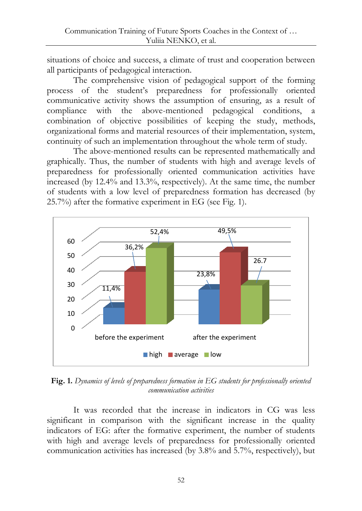situations of choice and success, a climate of trust and cooperation between all participants of pedagogical interaction.

The comprehensive vision of pedagogical support of the forming process of the student's preparedness for professionally oriented communicative activity shows the assumption of ensuring, as a result of compliance with the above-mentioned pedagogical conditions, a combination of objective possibilities of keeping the study, methods, organizational forms and material resources of their implementation, system, continuity of such an implementation throughout the whole term of study.

The above-mentioned results can be represented mathematically and graphically. Thus, the number of students with high and average levels of preparedness for professionally oriented communication activities have increased (by 12.4% and 13.3%, respectively). At the same time, the number of students with a low level of preparedness formation has decreased (by 25.7%) after the formative experiment in EG (see Fig. 1).



**Fig. 1.** *Dynamics of levels of preparedness formation in EG students for professionally oriented communication activities*

It was recorded that the increase in indicators in CG was less significant in comparison with the significant increase in the quality indicators of EG: after the formative experiment, the number of students with high and average levels of preparedness for professionally oriented communication activities has increased (by 3.8% and 5.7%, respectively), but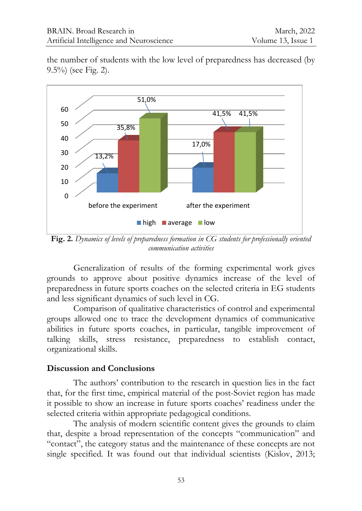the number of students with the low level of preparedness has decreased (by 9.5%) (see Fig. 2).



**Fig. 2.** *Dynamics of levels of preparedness formation in CG students for professionally oriented communication activities*

Generalization of results of the forming experimental work gives grounds to approve about positive dynamics increase of the level of preparedness in future sports coaches on the selected criteria in EG students and less significant dynamics of such level in CG.

Comparison of qualitative characteristics of control and experimental groups allowed one to trace the development dynamics of communicative abilities in future sports coaches, in particular, tangible improvement of talking skills, stress resistance, preparedness to establish contact, organizational skills.

#### **Discussion and Conclusions**

The authors' contribution to the research in question lies in the fact that, for the first time, empirical material of the post-Soviet region has made it possible to show an increase in future sports coaches' readiness under the selected criteria within appropriate pedagogical conditions.

The analysis of modern scientific content gives the grounds to claim that, despite a broad representation of the concepts "communication" and "contact", the category status and the maintenance of these concepts are not single specified. It was found out that individual scientists (Kislov, 2013;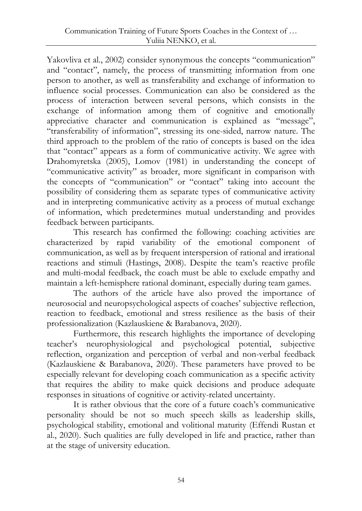Yakovliva et al., 2002) consider synonymous the concepts "communication" and "contact", namely, the process of transmitting information from one person to another, as well as transferability and exchange of information to influence social processes. Communication can also be considered as the process of interaction between several persons, which consists in the exchange of information among them of cognitive and emotionally appreciative character and communication is explained as "message", "transferability of information", stressing its one-sided, narrow nature. The third approach to the problem of the ratio of concepts is based on the idea that "contact" appears as a form of communicative activity. We agree with Drahomyretska (2005), Lomov (1981) in understanding the concept of "communicative activity" as broader, more significant in comparison with the concepts of "communication" or "contact" taking into account the possibility of considering them as separate types of communicative activity and in interpreting communicative activity as a process of mutual exchange of information, which predetermines mutual understanding and provides feedback between participants.

This research has confirmed the following: coaching activities are characterized by rapid variability of the emotional component of communication, as well as by frequent interspersion of rational and irrational reactions and stimuli (Hastings, 2008). Despite the team's reactive profile and multi-modal feedback, the coach must be able to exclude empathy and maintain a left-hemisphere rational dominant, especially during team games.

The authors of the article have also proved the importance of neurosocial and neuropsychological aspects of coaches' subjective reflection, reaction to feedback, emotional and stress resilience as the basis of their professionalization (Kazlauskiene & Barabanova, 2020).

Furthermore, this research highlights the importance of developing teacher's neurophysiological and psychological potential, subjective reflection, organization and perception of verbal and non-verbal feedback (Kazlauskiene & Barabanova, 2020). These parameters have proved to be especially relevant for developing coach communication as a specific activity that requires the ability to make quick decisions and produce adequate responses in situations of cognitive or activity-related uncertainty.

It is rather obvious that the core of a future coach's communicative personality should be not so much speech skills as leadership skills, psychological stability, emotional and volitional maturity (Effendi Rustan et al., 2020). Such qualities are fully developed in life and practice, rather than at the stage of university education.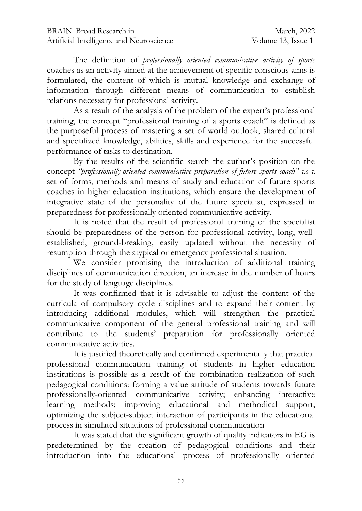The definition of *professionally oriented communicative activity of sports*  coaches as an activity aimed at the achievement of specific conscious aims is formulated, the content of which is mutual knowledge and exchange of information through different means of communication to establish relations necessary for professional activity.

As a result of the analysis of the problem of the expert's professional training, the concept "professional training of a sports coach" is defined as the purposeful process of mastering a set of world outlook, shared cultural and specialized knowledge, abilities, skills and experience for the successful performance of tasks to destination.

By the results of the scientific search the author's position on the concept *"professionally-oriented communicative preparation of future sports coach"* as a set of forms, methods and means of study and education of future sports coaches in higher education institutions, which ensure the development of integrative state of the personality of the future specialist, expressed in preparedness for professionally oriented communicative activity.

It is noted that the result of professional training of the specialist should be preparedness of the person for professional activity, long, wellestablished, ground-breaking, easily updated without the necessity of resumption through the atypical or emergency professional situation.

We consider promising the introduction of additional training disciplines of communication direction, an increase in the number of hours for the study of language disciplines.

It was confirmed that it is advisable to adjust the content of the curricula of compulsory cycle disciplines and to expand their content by introducing additional modules, which will strengthen the practical communicative component of the general professional training and will contribute to the students' preparation for professionally oriented communicative activities.

It is justified theoretically and confirmed experimentally that practical professional communication training of students in higher education institutions is possible as a result of the combination realization of such pedagogical conditions: forming a value attitude of students towards future professionally-oriented communicative activity; enhancing interactive learning methods; improving educational and methodical support; optimizing the subject-subject interaction of participants in the educational process in simulated situations of professional communication

It was stated that the significant growth of quality indicators in EG is predetermined by the creation of pedagogical conditions and their introduction into the educational process of professionally oriented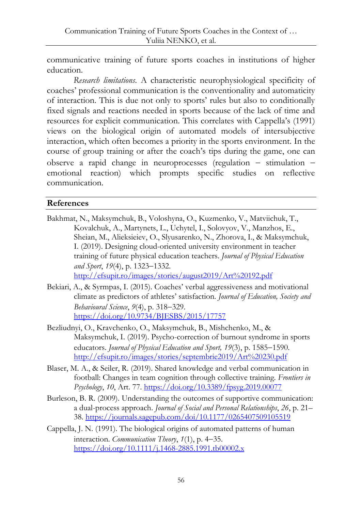communicative training of future sports coaches in institutions of higher education.

*Research limitations*. A characteristic neurophysiological specificity of coaches' professional communication is the conventionality and automaticity of interaction. This is due not only to sports' rules but also to conditionally fixed signals and reactions needed in sports because of the lack of time and resources for explicit communication. This correlates with Cappella's (1991) views on the biological origin of automated models of intersubjective interaction, which often becomes a priority in the sports environment. In the course of group training or after the coach's tips during the game, one can observe a rapid change in neuroprocesses (regulation  $-$  stimulation  $$ emotional reaction) which prompts specific studies on reflective communication.

#### **References**

- Bakhmat, N., Maksymchuk, B., Voloshyna, O., Kuzmenko, V., Matviichuk, T., Kovalchuk, A., Martynets, L., Uchytel, I., Solovyov, V., Manzhos, E., Sheian, M., Alieksieiev, O., Slyusarenko, N., Zhorova, I., & Maksymchuk, I. (2019). Designing cloud-oriented university environment in teacher training of future physical education teachers. *Journal of Physical Education and Sport, 19*(4), p. 1323–1332. <http://efsupit.ro/images/stories/august2019/Art%20192.pdf>
- Bekiari, A., & Syrmpas, I. (2015). Coaches' verbal aggressiveness and motivational climate as predictors of athletes' satisfaction. *Journal of Education, Society and Behavioural Science*, 9(4), p. 318-329. <https://doi.org/10.9734/BJESBS/2015/17757>
- Bezliudnyi, O., Kravchenko, O., Maksymchuk, B., Mishchenko, M., & Maksymchuk, I. (2019). Psycho-correction of burnout syndrome in sports educators. *Journal of Physical Education and Sport, 19*(3), p. 1585-1590. <http://efsupit.ro/images/stories/septembrie2019/Art%20230.pdf>
- Blaser, M. A., & Seiler, R. (2019). Shared knowledge and verbal communication in football: Changes in team cognition through collective training. *Frontiers in Psychology*, *10*, Art. 77[. https://doi.org/10.3389/fpsyg.2019.00077](https://doi.org/10.3389/fpsyg.2019.00077)
- Burleson, B. R. (2009). Understanding the outcomes of supportive communication: a dual-process approach. *Journal of Social and Personal Relationships*, *26*, p. 21– 38.<https://journals.sagepub.com/doi/10.1177/0265407509105519>
- Cappella, J. N. (1991). The biological origins of automated patterns of human interaction. *Communication Theory*,  $1(1)$ , p. 4-35. <https://doi.org/10.1111/j.1468-2885.1991.tb00002.x>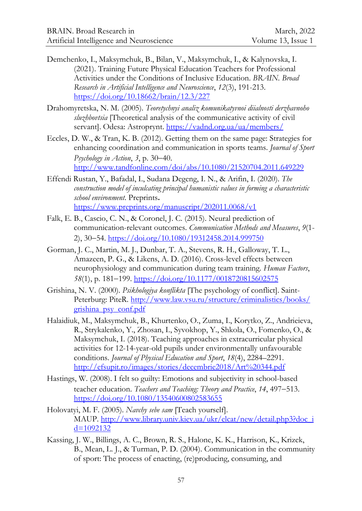- Demchenko, I., Maksymchuk, B., Bilan, V., Maksymchuk, I., & Kalynovska, I. (2021). Training Future Physical Education Teachers for Professional Activities under the Conditions of Inclusive Education. *BRAIN. Broad Research in Artificial Intelligence and Neuroscience*, *12*(3), 191-213. <https://doi.org/10.18662/brain/12.3/227>
- Drahomyretska, N. M. (2005). *Teoretychnyi analiz komunikatyvnoi diialnosti derzhavnoho sluzhbovtsia* [Theoretical analysis of the communicative activity of civil servant]. Odesa: Astroprynt.<https://vadnd.org.ua/ua/members/>
- Eccles, D. W., & Tran, K. B. (2012). Getting them on the same page: Strategies for enhancing coordination and communication in sports teams. *Journal of Sport Psychology in Action*, 3, p. 30–40. <http://www.tandfonline.com/doi/abs/10.1080/21520704.2011.649229>
- Effendi Rustan, Y., Вafadal, I., Sudana Degeng, I. N., & Arifin, I. (2020). *The construction model of inculcating principal humanistic values in forming a characteristic school environment*. Preprints**.** <https://www.preprints.org/manuscript/202011.0068/v1>
- Falk, E. B., Cascio, C. N., & Coronel, J. C. (2015). Neural prediction of communication-relevant outcomes. *Communication Methods and Measures*, *9*(1- 2), 30-54[. https://doi.org/10.1080/19312458.2014.999750](https://doi.org/10.1080/19312458.2014.999750)
- Gorman, J. C., Martin, M. J., Dunbar, T. A., Stevens, R. H., Galloway, T. L., Amazeen, P. G., & Likens, A. D. (2016). Cross-level effects between neurophysiology and communication during team training. *Human Factors*, 58(1), p. 181–199. <https://doi.org/10.1177/0018720815602575>
- Grishina, N. V. (2000). *Psikhologiya konflikta* [The psychology of conflict]. Saint-Peterburg: PiteR. [http://www.law.vsu.ru/structure/criminalistics/books/](http://www.law.vsu.ru/structure/criminalistics/books/%0bgrishina_psy_conf.pdf) [grishina\\_psy\\_conf.pdf](http://www.law.vsu.ru/structure/criminalistics/books/%0bgrishina_psy_conf.pdf)
- Halaidiuk, M., Maksymchuk, B., Khurtenko, O., Zuma, I., Korytko, Z., Andrieieva, R., Strykalenko, Y., Zhosan, I., Syvokhop, Y., Shkola, O., Fomenko, O., & Maksymchuk, I. (2018). Teaching approaches in extracurricular physical activities for 12-14-year-old pupils under environmentally unfavourable conditions. *Journal of Physical Education and Sport*, *18*(4), 2284–2291. <http://efsupit.ro/images/stories/decembrie2018/Art%20344.pdf>
- Hastings, W. (2008). I felt so guilty: Emotions and subjectivity in school-based teacher education. *Teachers and Teaching: Theory and Practice*, 14, 497-513. <https://doi.org/10.1080/13540600802583655>
- Holovatyi, M. F. (2005). *Navchy sebe sam* [Teach yourself]. MAUP. [http://www.library.univ.kiev.ua/ukr/elcat/new/detail.php3?doc\\_i](http://www.library.univ.kiev.ua/ukr/elcat/new/detail.php3?doc_id=1092132)  $d=1092132$
- Kassing, J. W., Billings, A. C., Brown, R. S., Halone, K. K., Harrison, K., Krizek, B., Mean, L. J., & Turman, P. D. (2004). Communication in the community of sport: The process of enacting, (re)producing, consuming, and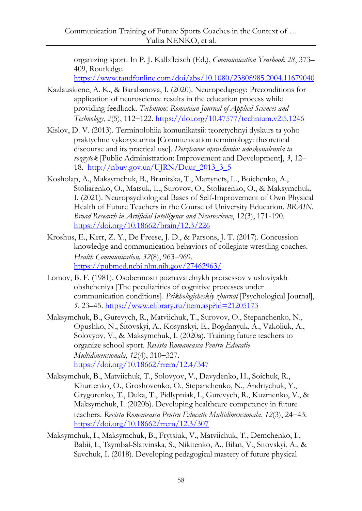organizing sport. In P. J. Kalbfleisch (Ed.), *Communication Yearbook 28*, 373– 409, Routledge.

<https://www.tandfonline.com/doi/abs/10.1080/23808985.2004.11679040>

- Kazlauskiene, A. K., & Barabanova, I. (2020). Neuropedagogy: Preconditions for application of neuroscience results in the education process while providing feedback. *Technium: Romanian Journal of Applied Sciences and Technology*, *2*(5), 112122.<https://doi.org/10.47577/technium.v2i5.1246>
- Kislov, D. V. (2013). Terminolohiia komunikatsii: teoretychnyi dyskurs ta yoho praktychne vykorystannia [Communication terminology: theoretical discourse and its practical use]. *Derzhavne upravlinnia: udoskonalennia ta rozvytok* [Public Administration: Improvement and Development], *3*, 12– 18. [http://nbuv.gov.ua/UJRN/Duur\\_2013\\_3\\_5](http://nbuv.gov.ua/UJRN/Duur_2013_3_5)
- Kosholap, A., Maksymchuk, B., Branitska, T., Martynets, L., Boichenko, A., Stoliarenko, O., Matsuk, L., Surovov, O., Stoliarenko, O., & Maksymchuk, I. (2021). Neuropsychological Bases of Self-Improvement of Own Physical Health of Future Teachers in the Course of University Education. *BRAIN. Broad Research in Artificial Intelligence and Neuroscience*, 12(3), 171-190. <https://doi.org/10.18662/brain/12.3/226>
- Kroshus, E., Kerr, Z. Y., De Freese, J. D., & Parsons, J. T. (2017). Concussion knowledge and communication behaviors of collegiate wrestling coaches. *Health Communication, 32(8), 963-969.* <https://pubmed.ncbi.nlm.nih.gov/27462963/>
- Lomov, B. F. (1981). Osobennosti poznavatelnykh protsessov v usloviyakh obshcheniya [The peculiarities of cognitive processes under communication conditions]. *Psikhologicheskiy zhurnal* [Psychological Journal], *5*, 23–45. <https://www.elibrary.ru/item.asp?id=21205173>
- Maksymchuk, B., Gurevych, R., Matviichuk, T., Surovov, O., Stepanchenko, N., Opushko, N., Sitovskyi, A., Kosynskyi, E., Bogdanyuk, A., Vakoliuk, A., Solovyov, V., & Maksymchuk, I. (2020a). Training future teachers to organize school sport. *Revista Romaneasca Pentru Educatie Multidimensionala*,  $12(4)$ ,  $310-327$ . <https://doi.org/10.18662/rrem/12.4/347>
- Maksymchuk, B., Matviichuk, T., Solovyov, V., Davydenko, H., Soichuk, R., Khurtenko, O., Groshovenko, O., Stepanchenko, N., Andriychuk, Y., Grygorenko, T., Duka, T., Pidlypniak, I., Gurevych, R., Kuzmenko, V., & Maksymchuk, I. (2020b). Developing healthcare competency in future teachers. *Revista Romaneasca Pentru Educatie Multidimensionala*, 12(3), 24-43. <https://doi.org/10.18662/rrem/12.3/307>
- Maksymchuk, I., Maksymchuk, B., Frytsiuk, V., Matviichuk, T., Demchenko, I., Babii, I., Tsymbal-Slatvinska, S., Nikitenko, A., Bilan, V., Sitovskyi, A., & Savchuk, I. (2018). Developing pedagogical mastery of future physical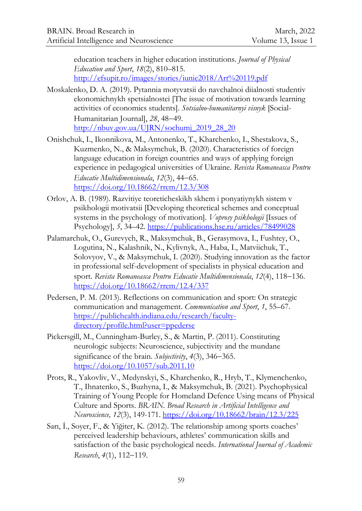education teachers in higher education institutions. *Journal of Physical Education and Sport*, *18*(2), 810–815. <http://efsupit.ro/images/stories/iunie2018/Art%20119.pdf>

- Moskalenko, D. A. (2019). Pytannia motyvatsii do navchalnoi diialnosti studentiv ekonomichnykh spetsialnostei [The issue of motivation towards learning activities of economics students]. *Sotsialno-humanitarnyi visnyk* [Social-Humanitarian Journall, 28, 48-49. [http://nbuv.gov.ua/UJRN/sochumj\\_2019\\_28\\_20](http://nbuv.gov.ua/UJRN/sochumj_2019_28_20)
- Onishchuk, I., Ikonnikova, M., Antonenko, T., Kharchenko, I., Shestakova, S., Kuzmenko, N., & Maksymchuk, B. (2020). Characteristics of foreign language education in foreign countries and ways of applying foreign experience in pedagogical universities of Ukraine. *Revista Romaneasca Pentru Educatie Multidimensionala*, 12(3), 44-65. <https://doi.org/10.18662/rrem/12.3/308>
- Orlov, A. B. (1989). Razvitiye teoreticheskikh skhem i ponyatiynykh sistem v psikhologii motivatsii [Developing theoretical schemes and conceptual systems in the psychology of motivation]. *Voprosy psikhologii* [Issues of Psychology], *5*, 34–42. <https://publications.hse.ru/articles/78499028>
- Palamarchuk, O., Gurevych, R., Maksymchuk, B., Gerasymova, I., Fushtey, O., Logutina, N., Kalashnik, N., Kylivnyk, A., Haba, I., Matviichuk, T., Solovyov, V., & Maksymchuk, I. (2020). Studying innovation as the factor in professional self-development of specialists in physical education and sport. *Revista Romaneasca Pentru Educatie Multidimensionala*, 12(4), 118–136. <https://doi.org/10.18662/rrem/12.4/337>
- Pedersen, P. M. (2013). Reflections on communication and sport: On strategic communication and management. *Communication and Sport*, *1*, 55–67. [https://publichealth.indiana.edu/research/faculty](https://publichealth.indiana.edu/research/faculty-directory/profile.html?user=ppederse)[directory/profile.html?user=ppederse](https://publichealth.indiana.edu/research/faculty-directory/profile.html?user=ppederse)
- Pickersgill, M., Cunningham-Burley, S., & Martin, P. (2011). Constituting neurologic subjects: Neuroscience, subjectivity and the mundane significance of the brain. *Subjectivity*, 4(3), 346–365. <https://doi.org/10.1057/sub.2011.10>
- Prots, R., Yakovliv, V., Medynskyi, S., Kharchenko, R., Hryb, T., Klymenchenko, T., Ihnatenko, S., Buzhyna, I., & Maksymchuk, B. (2021). Psychophysical Training of Young People for Homeland Defence Using means of Physical Culture and Sports. *BRAIN. Broad Research in Artificial Intelligence and Neuroscience, 12*(3), 149-171[. https://doi.org/10.18662/brain/12.3/225](https://doi.org/10.18662/brain/12.3/225)
- Sarı, İ., Soyer, F., & Yiğiter, K. (2012). The relationship among sports coaches' perceived leadership behaviours, athletes' communication skills and satisfaction of the basic psychological needs. *International Journal of Academic Research*,  $4(1)$ ,  $112-119$ .